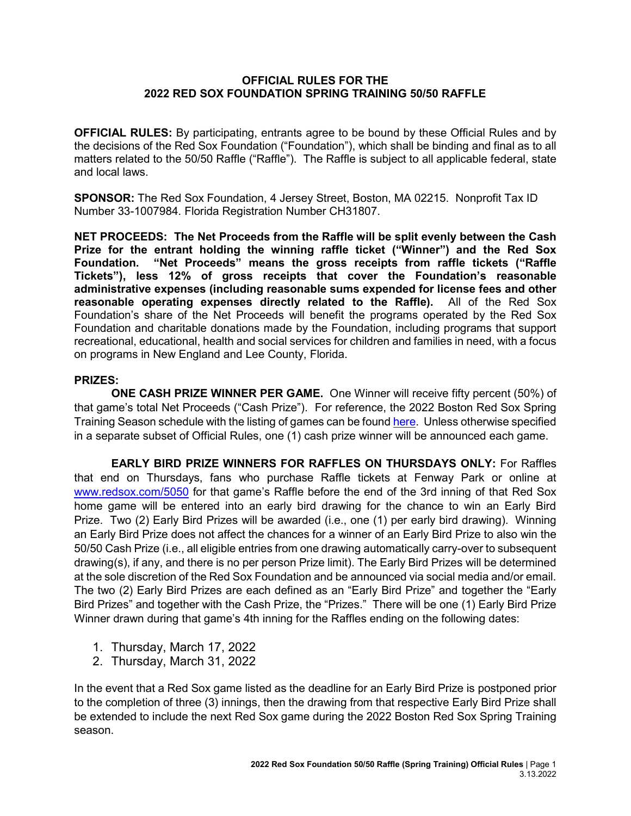## **OFFICIAL RULES FOR THE 2022 RED SOX FOUNDATION SPRING TRAINING 50/50 RAFFLE**

**OFFICIAL RULES:** By participating, entrants agree to be bound by these Official Rules and by the decisions of the Red Sox Foundation ("Foundation"), which shall be binding and final as to all matters related to the 50/50 Raffle ("Raffle"). The Raffle is subject to all applicable federal, state and local laws.

**SPONSOR:** The Red Sox Foundation, 4 Jersey Street, Boston, MA 02215. Nonprofit Tax ID Number 33-1007984. Florida Registration Number CH31807.

**NET PROCEEDS: The Net Proceeds from the Raffle will be split evenly between the Cash Prize for the entrant holding the winning raffle ticket ("Winner") and the Red Sox Foundation. "Net Proceeds" means the gross receipts from raffle tickets ("Raffle Tickets"), less 12% of gross receipts that cover the Foundation's reasonable administrative expenses (including reasonable sums expended for license fees and other reasonable operating expenses directly related to the Raffle).** All of the Red Sox Foundation's share of the Net Proceeds will benefit the programs operated by the Red Sox Foundation and charitable donations made by the Foundation, including programs that support recreational, educational, health and social services for children and families in need, with a focus on programs in New England and Lee County, Florida.

## **PRIZES:**

**ONE CASH PRIZE WINNER PER GAME.** One Winner will receive fifty percent (50%) of that game's total Net Proceeds ("Cash Prize"). For reference, the 2022 Boston Red Sox Spring Training Season schedule with the listing of games can be foun[d here.](https://www.mlb.com/redsox/schedule) Unless otherwise specified in a separate subset of Official Rules, one (1) cash prize winner will be announced each game.

**EARLY BIRD PRIZE WINNERS FOR RAFFLES ON THURSDAYS ONLY:** For Raffles that end on Thursdays, fans who purchase Raffle tickets at Fenway Park or online at [www.redsox.com/5050](http://www.redsox.com/5050) for that game's Raffle before the end of the 3rd inning of that Red Sox home game will be entered into an early bird drawing for the chance to win an Early Bird Prize. Two (2) Early Bird Prizes will be awarded (i.e., one (1) per early bird drawing). Winning an Early Bird Prize does not affect the chances for a winner of an Early Bird Prize to also win the 50/50 Cash Prize (i.e., all eligible entries from one drawing automatically carry-over to subsequent drawing(s), if any, and there is no per person Prize limit). The Early Bird Prizes will be determined at the sole discretion of the Red Sox Foundation and be announced via social media and/or email. The two (2) Early Bird Prizes are each defined as an "Early Bird Prize" and together the "Early Bird Prizes" and together with the Cash Prize, the "Prizes." There will be one (1) Early Bird Prize Winner drawn during that game's 4th inning for the Raffles ending on the following dates:

- 1. Thursday, March 17, 2022
- 2. Thursday, March 31, 2022

In the event that a Red Sox game listed as the deadline for an Early Bird Prize is postponed prior to the completion of three (3) innings, then the drawing from that respective Early Bird Prize shall be extended to include the next Red Sox game during the 2022 Boston Red Sox Spring Training season.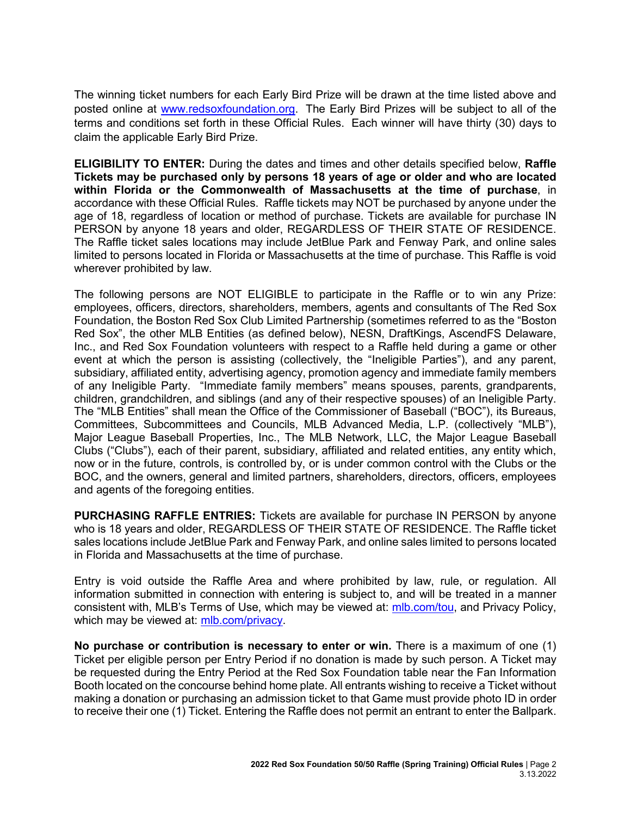The winning ticket numbers for each Early Bird Prize will be drawn at the time listed above and posted online at [www.redsoxfoundation.org.](http://www.redsoxfoundation.org/) The Early Bird Prizes will be subject to all of the terms and conditions set forth in these Official Rules. Each winner will have thirty (30) days to claim the applicable Early Bird Prize.

**ELIGIBILITY TO ENTER:** During the dates and times and other details specified below, **Raffle Tickets may be purchased only by persons 18 years of age or older and who are located within Florida or the Commonwealth of Massachusetts at the time of purchase**, in accordance with these Official Rules. Raffle tickets may NOT be purchased by anyone under the age of 18, regardless of location or method of purchase. Tickets are available for purchase IN PERSON by anyone 18 years and older, REGARDLESS OF THEIR STATE OF RESIDENCE. The Raffle ticket sales locations may include JetBlue Park and Fenway Park, and online sales limited to persons located in Florida or Massachusetts at the time of purchase. This Raffle is void wherever prohibited by law.

The following persons are NOT ELIGIBLE to participate in the Raffle or to win any Prize: employees, officers, directors, shareholders, members, agents and consultants of The Red Sox Foundation, the Boston Red Sox Club Limited Partnership (sometimes referred to as the "Boston Red Sox", the other MLB Entities (as defined below), NESN, DraftKings, AscendFS Delaware, Inc., and Red Sox Foundation volunteers with respect to a Raffle held during a game or other event at which the person is assisting (collectively, the "Ineligible Parties"), and any parent, subsidiary, affiliated entity, advertising agency, promotion agency and immediate family members of any Ineligible Party. "Immediate family members" means spouses, parents, grandparents, children, grandchildren, and siblings (and any of their respective spouses) of an Ineligible Party. The "MLB Entities" shall mean the Office of the Commissioner of Baseball ("BOC"), its Bureaus, Committees, Subcommittees and Councils, MLB Advanced Media, L.P. (collectively "MLB"), Major League Baseball Properties, Inc., The MLB Network, LLC, the Major League Baseball Clubs ("Clubs"), each of their parent, subsidiary, affiliated and related entities, any entity which, now or in the future, controls, is controlled by, or is under common control with the Clubs or the BOC, and the owners, general and limited partners, shareholders, directors, officers, employees and agents of the foregoing entities.

**PURCHASING RAFFLE ENTRIES:** Tickets are available for purchase IN PERSON by anyone who is 18 years and older, REGARDLESS OF THEIR STATE OF RESIDENCE. The Raffle ticket sales locations include JetBlue Park and Fenway Park, and online sales limited to persons located in Florida and Massachusetts at the time of purchase.

Entry is void outside the Raffle Area and where prohibited by law, rule, or regulation. All information submitted in connection with entering is subject to, and will be treated in a manner consistent with, MLB's Terms of Use, which may be viewed at: [mlb.com/tou,](http://mlb.mlb.com/mlb/official_info/about_mlb_com/terms_of_use.jsp) and Privacy Policy, which may be viewed at: [mlb.com/privacy.](http://www.mlb.com/privacy)

**No purchase or contribution is necessary to enter or win.** There is a maximum of one (1) Ticket per eligible person per Entry Period if no donation is made by such person. A Ticket may be requested during the Entry Period at the Red Sox Foundation table near the Fan Information Booth located on the concourse behind home plate. All entrants wishing to receive a Ticket without making a donation or purchasing an admission ticket to that Game must provide photo ID in order to receive their one (1) Ticket. Entering the Raffle does not permit an entrant to enter the Ballpark.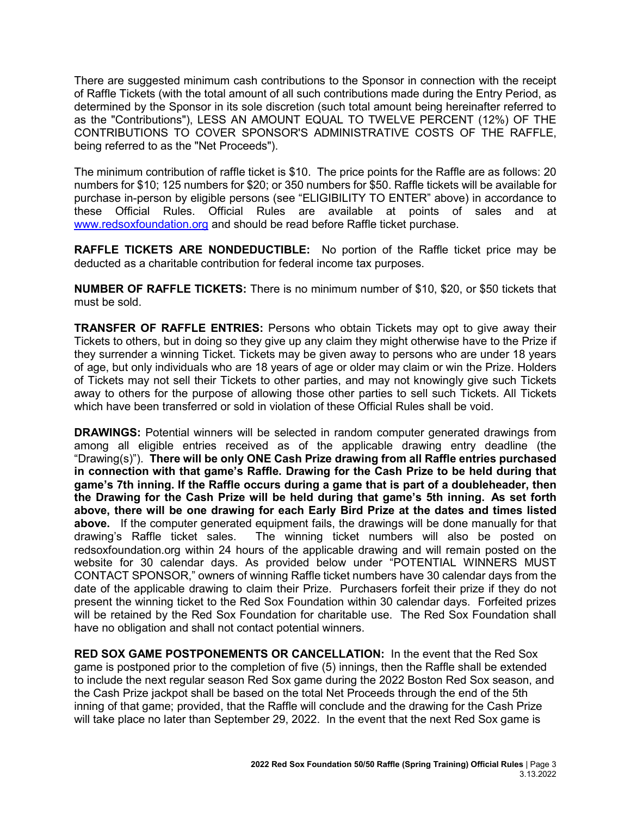There are suggested minimum cash contributions to the Sponsor in connection with the receipt of Raffle Tickets (with the total amount of all such contributions made during the Entry Period, as determined by the Sponsor in its sole discretion (such total amount being hereinafter referred to as the "Contributions"), LESS AN AMOUNT EQUAL TO TWELVE PERCENT (12%) OF THE CONTRIBUTIONS TO COVER SPONSOR'S ADMINISTRATIVE COSTS OF THE RAFFLE, being referred to as the "Net Proceeds").

The minimum contribution of raffle ticket is \$10. The price points for the Raffle are as follows: 20 numbers for \$10; 125 numbers for \$20; or 350 numbers for \$50. Raffle tickets will be available for purchase in-person by eligible persons (see "ELIGIBILITY TO ENTER" above) in accordance to these Official Rules. Official Rules are available at points of sales and at [www.redsoxfoundation.org](http://www.redsoxfoundation.org/) and should be read before Raffle ticket purchase.

**RAFFLE TICKETS ARE NONDEDUCTIBLE:** No portion of the Raffle ticket price may be deducted as a charitable contribution for federal income tax purposes.

**NUMBER OF RAFFLE TICKETS:** There is no minimum number of \$10, \$20, or \$50 tickets that must be sold.

**TRANSFER OF RAFFLE ENTRIES:** Persons who obtain Tickets may opt to give away their Tickets to others, but in doing so they give up any claim they might otherwise have to the Prize if they surrender a winning Ticket. Tickets may be given away to persons who are under 18 years of age, but only individuals who are 18 years of age or older may claim or win the Prize. Holders of Tickets may not sell their Tickets to other parties, and may not knowingly give such Tickets away to others for the purpose of allowing those other parties to sell such Tickets. All Tickets which have been transferred or sold in violation of these Official Rules shall be void.

**DRAWINGS:** Potential winners will be selected in random computer generated drawings from among all eligible entries received as of the applicable drawing entry deadline (the "Drawing(s)"). **There will be only ONE Cash Prize drawing from all Raffle entries purchased in connection with that game's Raffle. Drawing for the Cash Prize to be held during that game's 7th inning. If the Raffle occurs during a game that is part of a doubleheader, then the Drawing for the Cash Prize will be held during that game's 5th inning. As set forth above, there will be one drawing for each Early Bird Prize at the dates and times listed above.** If the computer generated equipment fails, the drawings will be done manually for that drawing's Raffle ticket sales. The winning ticket numbers will also be posted on redsoxfoundation.org within 24 hours of the applicable drawing and will remain posted on the website for 30 calendar days. As provided below under "POTENTIAL WINNERS MUST CONTACT SPONSOR," owners of winning Raffle ticket numbers have 30 calendar days from the date of the applicable drawing to claim their Prize. Purchasers forfeit their prize if they do not present the winning ticket to the Red Sox Foundation within 30 calendar days. Forfeited prizes will be retained by the Red Sox Foundation for charitable use. The Red Sox Foundation shall have no obligation and shall not contact potential winners.

**RED SOX GAME POSTPONEMENTS OR CANCELLATION:** In the event that the Red Sox game is postponed prior to the completion of five (5) innings, then the Raffle shall be extended to include the next regular season Red Sox game during the 2022 Boston Red Sox season, and the Cash Prize jackpot shall be based on the total Net Proceeds through the end of the 5th inning of that game; provided, that the Raffle will conclude and the drawing for the Cash Prize will take place no later than September 29, 2022. In the event that the next Red Sox game is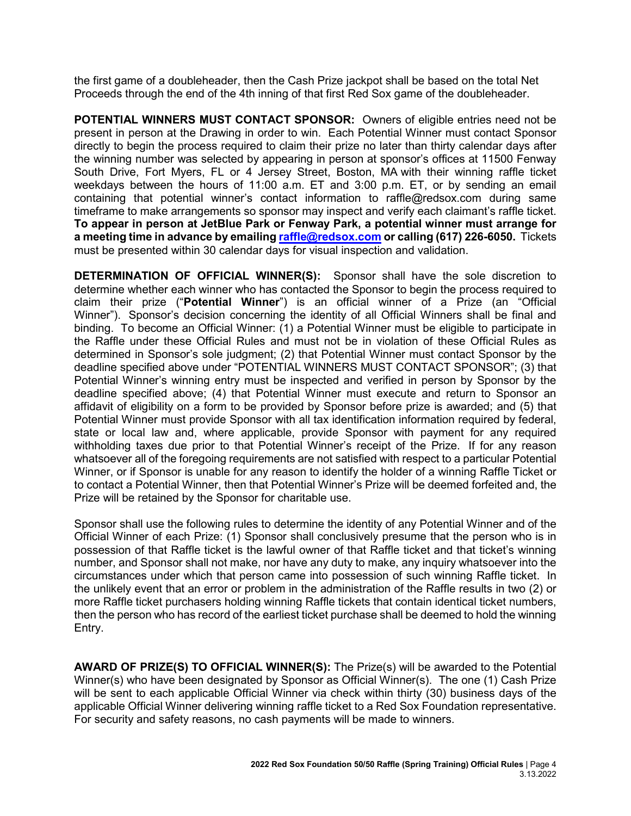the first game of a doubleheader, then the Cash Prize jackpot shall be based on the total Net Proceeds through the end of the 4th inning of that first Red Sox game of the doubleheader.

**POTENTIAL WINNERS MUST CONTACT SPONSOR:** Owners of eligible entries need not be present in person at the Drawing in order to win. Each Potential Winner must contact Sponsor directly to begin the process required to claim their prize no later than thirty calendar days after the winning number was selected by appearing in person at sponsor's offices at 11500 Fenway South Drive, Fort Myers, FL or 4 Jersey Street, Boston, MA with their winning raffle ticket weekdays between the hours of 11:00 a.m. ET and 3:00 p.m. ET, or by sending an email containing that potential winner's contact information to [raffle@redsox.com](mailto:redsoxraffle@redsox.com) during same timeframe to make arrangements so sponsor may inspect and verify each claimant's raffle ticket. **To appear in person at JetBlue Park or Fenway Park, a potential winner must arrange for a meeting time in advance by emailing raffle@redsox.com or calling (617) 226-6050.** Tickets must be presented within 30 calendar days for visual inspection and validation.

**DETERMINATION OF OFFICIAL WINNER(S):** Sponsor shall have the sole discretion to determine whether each winner who has contacted the Sponsor to begin the process required to claim their prize ("**Potential Winner**") is an official winner of a Prize (an "Official Winner"). Sponsor's decision concerning the identity of all Official Winners shall be final and binding. To become an Official Winner: (1) a Potential Winner must be eligible to participate in the Raffle under these Official Rules and must not be in violation of these Official Rules as determined in Sponsor's sole judgment; (2) that Potential Winner must contact Sponsor by the deadline specified above under "POTENTIAL WINNERS MUST CONTACT SPONSOR"; (3) that Potential Winner's winning entry must be inspected and verified in person by Sponsor by the deadline specified above; (4) that Potential Winner must execute and return to Sponsor an affidavit of eligibility on a form to be provided by Sponsor before prize is awarded; and (5) that Potential Winner must provide Sponsor with all tax identification information required by federal, state or local law and, where applicable, provide Sponsor with payment for any required withholding taxes due prior to that Potential Winner's receipt of the Prize. If for any reason whatsoever all of the foregoing requirements are not satisfied with respect to a particular Potential Winner, or if Sponsor is unable for any reason to identify the holder of a winning Raffle Ticket or to contact a Potential Winner, then that Potential Winner's Prize will be deemed forfeited and, the Prize will be retained by the Sponsor for charitable use.

Sponsor shall use the following rules to determine the identity of any Potential Winner and of the Official Winner of each Prize: (1) Sponsor shall conclusively presume that the person who is in possession of that Raffle ticket is the lawful owner of that Raffle ticket and that ticket's winning number, and Sponsor shall not make, nor have any duty to make, any inquiry whatsoever into the circumstances under which that person came into possession of such winning Raffle ticket. In the unlikely event that an error or problem in the administration of the Raffle results in two (2) or more Raffle ticket purchasers holding winning Raffle tickets that contain identical ticket numbers, then the person who has record of the earliest ticket purchase shall be deemed to hold the winning Entry.

**AWARD OF PRIZE(S) TO OFFICIAL WINNER(S):** The Prize(s) will be awarded to the Potential Winner(s) who have been designated by Sponsor as Official Winner(s). The one (1) Cash Prize will be sent to each applicable Official Winner via check within thirty (30) business days of the applicable Official Winner delivering winning raffle ticket to a Red Sox Foundation representative. For security and safety reasons, no cash payments will be made to winners.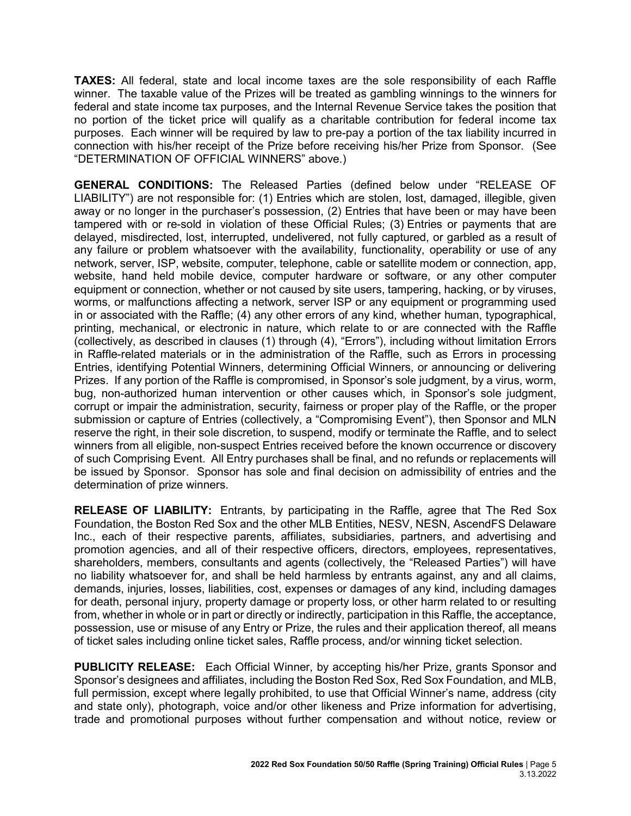**TAXES:** All federal, state and local income taxes are the sole responsibility of each Raffle winner. The taxable value of the Prizes will be treated as gambling winnings to the winners for federal and state income tax purposes, and the Internal Revenue Service takes the position that no portion of the ticket price will qualify as a charitable contribution for federal income tax purposes. Each winner will be required by law to pre-pay a portion of the tax liability incurred in connection with his/her receipt of the Prize before receiving his/her Prize from Sponsor. (See "DETERMINATION OF OFFICIAL WINNERS" above.)

**GENERAL CONDITIONS:** The Released Parties (defined below under "RELEASE OF LIABILITY") are not responsible for: (1) Entries which are stolen, lost, damaged, illegible, given away or no longer in the purchaser's possession, (2) Entries that have been or may have been tampered with or re-sold in violation of these Official Rules; (3) Entries or payments that are delayed, misdirected, lost, interrupted, undelivered, not fully captured, or garbled as a result of any failure or problem whatsoever with the availability, functionality, operability or use of any network, server, ISP, website, computer, telephone, cable or satellite modem or connection, app, website, hand held mobile device, computer hardware or software, or any other computer equipment or connection, whether or not caused by site users, tampering, hacking, or by viruses, worms, or malfunctions affecting a network, server ISP or any equipment or programming used in or associated with the Raffle; (4) any other errors of any kind, whether human, typographical, printing, mechanical, or electronic in nature, which relate to or are connected with the Raffle (collectively, as described in clauses (1) through (4), "Errors"), including without limitation Errors in Raffle-related materials or in the administration of the Raffle, such as Errors in processing Entries, identifying Potential Winners, determining Official Winners, or announcing or delivering Prizes. If any portion of the Raffle is compromised, in Sponsor's sole judgment, by a virus, worm, bug, non-authorized human intervention or other causes which, in Sponsor's sole judgment, corrupt or impair the administration, security, fairness or proper play of the Raffle, or the proper submission or capture of Entries (collectively, a "Compromising Event"), then Sponsor and MLN reserve the right, in their sole discretion, to suspend, modify or terminate the Raffle, and to select winners from all eligible, non-suspect Entries received before the known occurrence or discovery of such Comprising Event. All Entry purchases shall be final, and no refunds or replacements will be issued by Sponsor. Sponsor has sole and final decision on admissibility of entries and the determination of prize winners.

**RELEASE OF LIABILITY:** Entrants, by participating in the Raffle, agree that The Red Sox Foundation, the Boston Red Sox and the other MLB Entities, NESV, NESN, AscendFS Delaware Inc., each of their respective parents, affiliates, subsidiaries, partners, and advertising and promotion agencies, and all of their respective officers, directors, employees, representatives, shareholders, members, consultants and agents (collectively, the "Released Parties") will have no liability whatsoever for, and shall be held harmless by entrants against, any and all claims, demands, injuries, losses, liabilities, cost, expenses or damages of any kind, including damages for death, personal injury, property damage or property loss, or other harm related to or resulting from, whether in whole or in part or directly or indirectly, participation in this Raffle, the acceptance, possession, use or misuse of any Entry or Prize, the rules and their application thereof, all means of ticket sales including online ticket sales, Raffle process, and/or winning ticket selection.

**PUBLICITY RELEASE:** Each Official Winner, by accepting his/her Prize, grants Sponsor and Sponsor's designees and affiliates, including the Boston Red Sox, Red Sox Foundation, and MLB, full permission, except where legally prohibited, to use that Official Winner's name, address (city and state only), photograph, voice and/or other likeness and Prize information for advertising, trade and promotional purposes without further compensation and without notice, review or